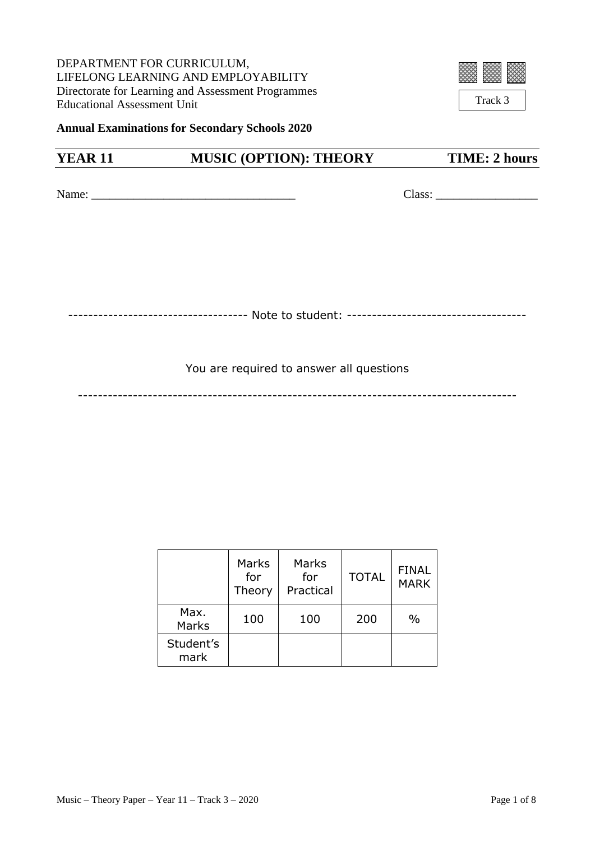DEPARTMENT FOR CURRICULUM, LIFELONG LEARNING AND EMPLOYABILITY Directorate for Learning and Assessment Programmes Educational Assessment Unit



Track 3

**Annual Examinations for Secondary Schools 2020**

## **YEAR 11** MUSIC (OPTION): THEORY TIME: 2 hours

Name: \_\_\_\_\_\_\_\_\_\_\_\_\_\_\_\_\_\_\_\_\_\_\_\_\_\_\_\_\_\_\_\_\_\_ Class: \_\_\_\_\_\_\_\_\_\_\_\_\_\_\_\_\_

------------------------------------ Note to student: ------------------------------------

You are required to answer all questions

----------------------------------------------------------------------------------------

|                   | Marks<br>for<br>Theory | Marks<br>for<br>Practical | <b>TOTAL</b> | <b>FINAL</b><br><b>MARK</b> |
|-------------------|------------------------|---------------------------|--------------|-----------------------------|
| Max.<br>Marks     | 100                    | 100                       | 200          | $\frac{0}{0}$               |
| Student's<br>mark |                        |                           |              |                             |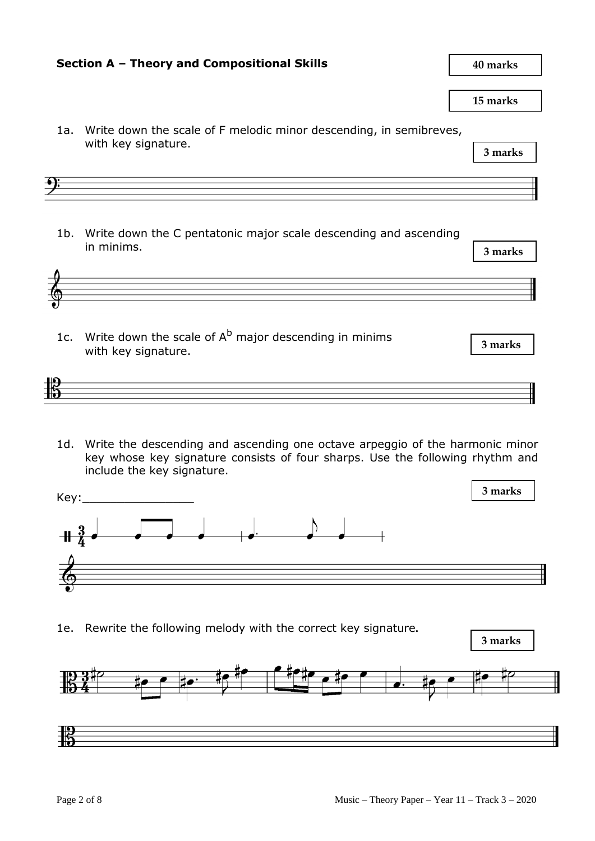

**Section A – Theory and Compositional Skills**

1a. Write down the scale of F melodic minor descending, in semibreves,

据

**40 marks**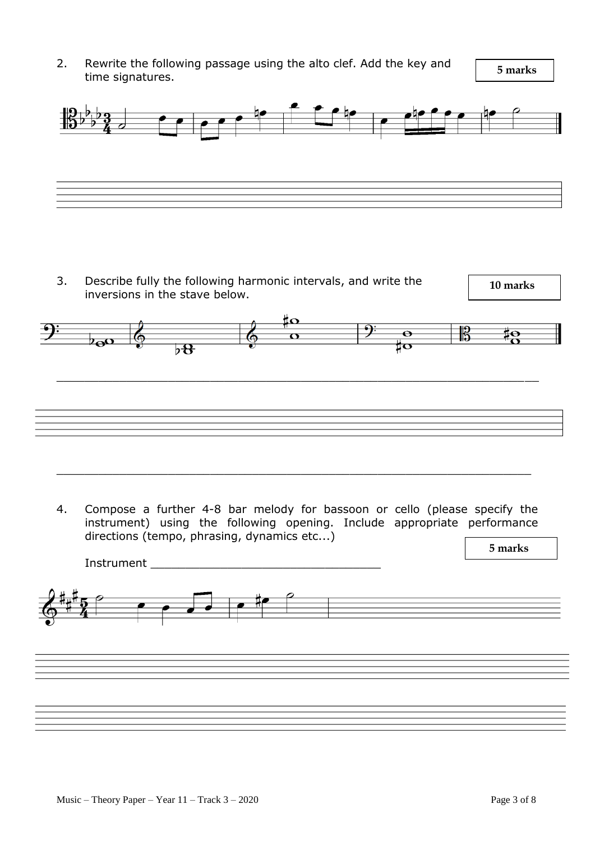2. Rewrite the following passage using the alto clef. Add the key and time signatures.

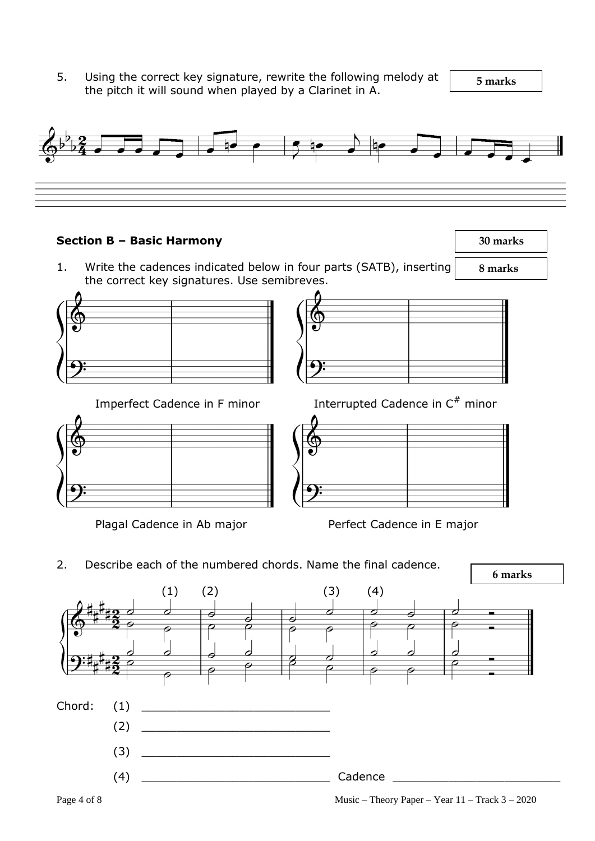5. Using the correct key signature, rewrite the following melody at  $\sqrt{5 \text{ marks}}$ the pitch it will sound when played by a Clarinet in A.

 **8 marks**

 **30 marks**



## **Section B – Basic Harmony**

1. Write the cadences indicated below in four parts (SATB), inserting the correct key signatures. Use semibreves.



Imperfect Cadence in F minor



Plagal Cadence in Ab major Perfect Cadence in E major

Interrupted Cadence in  $C^*$  minor

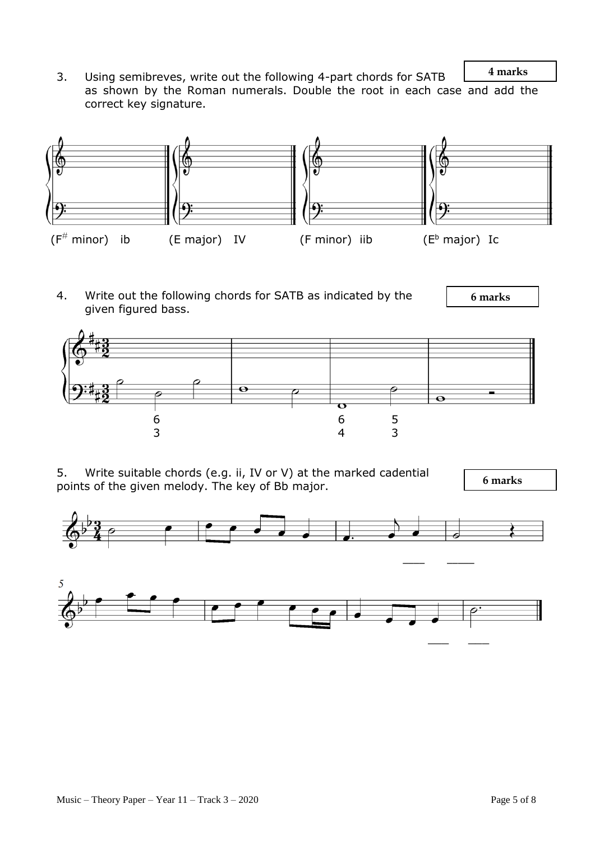**4 marks** 3. Using semibreves, write out the following 4-part chords for SATB as shown by the Roman numerals. Double the root in each case and add the correct key signature.



4. Write out the following chords for SATB as indicated by the given figured bass.

 **6 marks**



5. Write suitable chords (e.g. ii, IV or V) at the marked cadential points of the given melody. The key of Bb major.

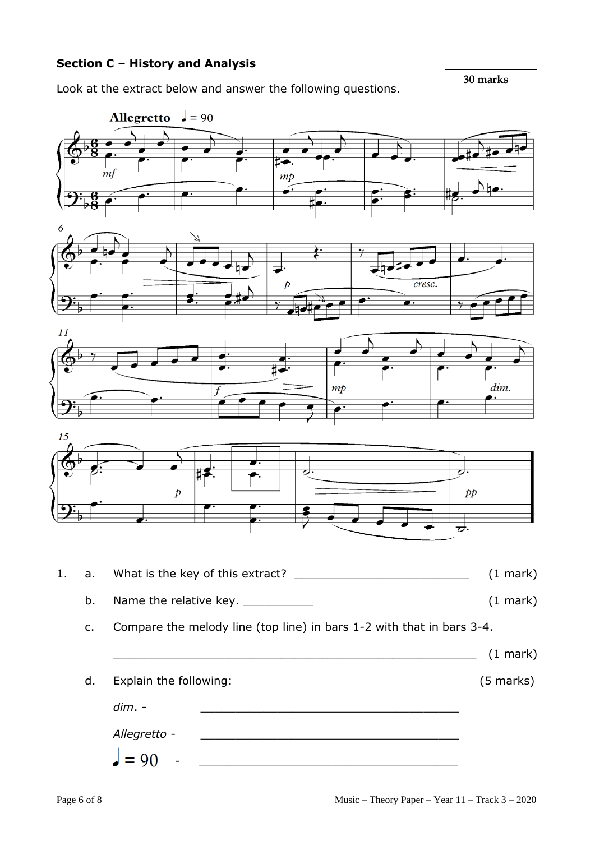## **Section C – History and Analysis**

Look at the extract below and answer the following questions.

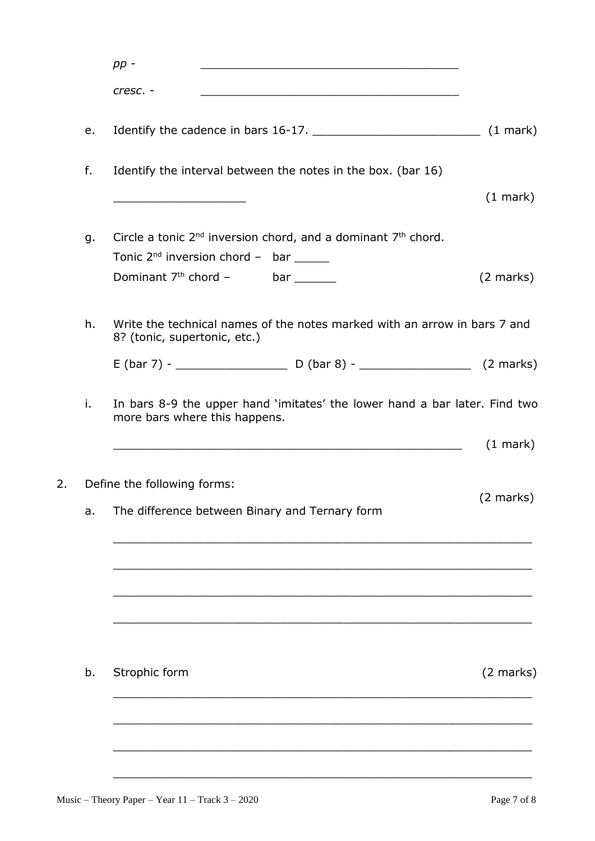|    | $pp -$                                                                                                                           |                     |
|----|----------------------------------------------------------------------------------------------------------------------------------|---------------------|
|    | cresc. -<br><u> 1989 - Jan Barnett, mars et al. 1989 - Antonio Alemania, presidente establecente establecente establecente e</u> |                     |
| e. |                                                                                                                                  |                     |
| f. | Identify the interval between the notes in the box. (bar 16)                                                                     |                     |
|    |                                                                                                                                  | (1 mark)            |
| g. | Circle a tonic $2^{nd}$ inversion chord, and a dominant $7th$ chord.                                                             |                     |
|    | Tonic $2^{nd}$ inversion chord - bar ______                                                                                      |                     |
|    | Dominant $7th$ chord $-$ bar                                                                                                     | $(2 \text{ marks})$ |
| h. | Write the technical names of the notes marked with an arrow in bars 7 and<br>8? (tonic, supertonic, etc.)                        |                     |
|    |                                                                                                                                  |                     |
| i. | In bars 8-9 the upper hand 'imitates' the lower hand a bar later. Find two<br>more bars where this happens.                      |                     |
|    | <u> 2000 - 2000 - 2000 - 2000 - 2000 - 2000 - 2000 - 2000 - 2000 - 2000 - 2000 - 2000 - 2000 - 2000 - 2000 - 200</u>             | $(1 \text{ mark})$  |
|    | Define the following forms:                                                                                                      |                     |
| a. | The difference between Binary and Ternary form                                                                                   | $(2 \text{ marks})$ |
|    |                                                                                                                                  |                     |
|    |                                                                                                                                  |                     |
| b. | Strophic form                                                                                                                    | $(2 \text{ marks})$ |
|    |                                                                                                                                  |                     |
|    |                                                                                                                                  |                     |
|    |                                                                                                                                  |                     |
|    |                                                                                                                                  |                     |